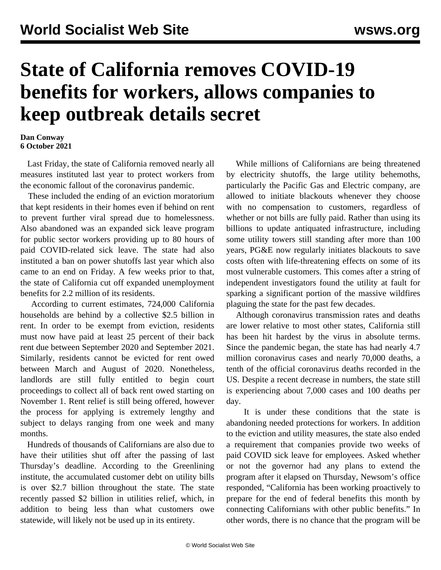## **State of California removes COVID-19 benefits for workers, allows companies to keep outbreak details secret**

## **Dan Conway 6 October 2021**

 Last Friday, the state of California removed nearly all measures instituted last year to protect workers from the economic fallout of the coronavirus pandemic.

 These included the ending of an eviction moratorium that kept residents in their homes even if behind on rent to prevent further viral spread due to homelessness. Also abandoned was an expanded sick leave program for public sector workers providing up to 80 hours of paid COVID-related sick leave. The state had also instituted a ban on power shutoffs last year which also came to an end on Friday. A few weeks prior to that, the state of California cut off expanded unemployment benefits for 2.2 million of its residents.

 According to current estimates, 724,000 California households are behind by a collective \$2.5 billion in rent. In order to be exempt from eviction, residents must now have paid at least 25 percent of their back rent due between September 2020 and September 2021. Similarly, residents cannot be evicted for rent owed between March and August of 2020. Nonetheless, landlords are still fully entitled to begin court proceedings to collect all of back rent owed starting on November 1. Rent relief is still being offered, however the process for applying is extremely lengthy and subject to delays ranging from one week and many months.

 Hundreds of thousands of Californians are also due to have their utilities shut off after the passing of last Thursday's deadline. According to the Greenlining institute, the accumulated customer debt on utility bills is over \$2.7 billion throughout the state. The state recently passed \$2 billion in utilities relief, which, in addition to being less than what customers owe statewide, will likely not be used up in its entirety.

 While millions of Californians are being threatened by electricity shutoffs, the large utility behemoths, particularly the Pacific Gas and Electric company, are allowed to initiate blackouts whenever they choose with no compensation to customers, regardless of whether or not bills are fully paid. Rather than using its billions to update antiquated infrastructure, including some utility towers still standing after more than 100 years, PG&E now regularly initiates blackouts to save costs often with life-threatening effects on some of its most vulnerable customers. This comes after a string of independent investigators found the utility at fault for sparking a significant portion of the massive wildfires plaguing the state for the past few decades.

 Although coronavirus transmission rates and deaths are lower relative to most other states, California still has been hit hardest by the virus in absolute terms. Since the pandemic began, the state has had nearly 4.7 million coronavirus cases and nearly 70,000 deaths, a tenth of the official coronavirus deaths recorded in the US. Despite a recent decrease in numbers, the state still is experiencing about 7,000 cases and 100 deaths per day.

 It is under these conditions that the state is abandoning needed protections for workers. In addition to the eviction and utility measures, the state also ended a requirement that companies provide two weeks of paid COVID sick leave for employees. Asked whether or not the governor had any plans to extend the program after it elapsed on Thursday, Newsom's office responded, "California has been working proactively to prepare for the end of federal benefits this month by connecting Californians with other public benefits." In other words, there is no chance that the program will be